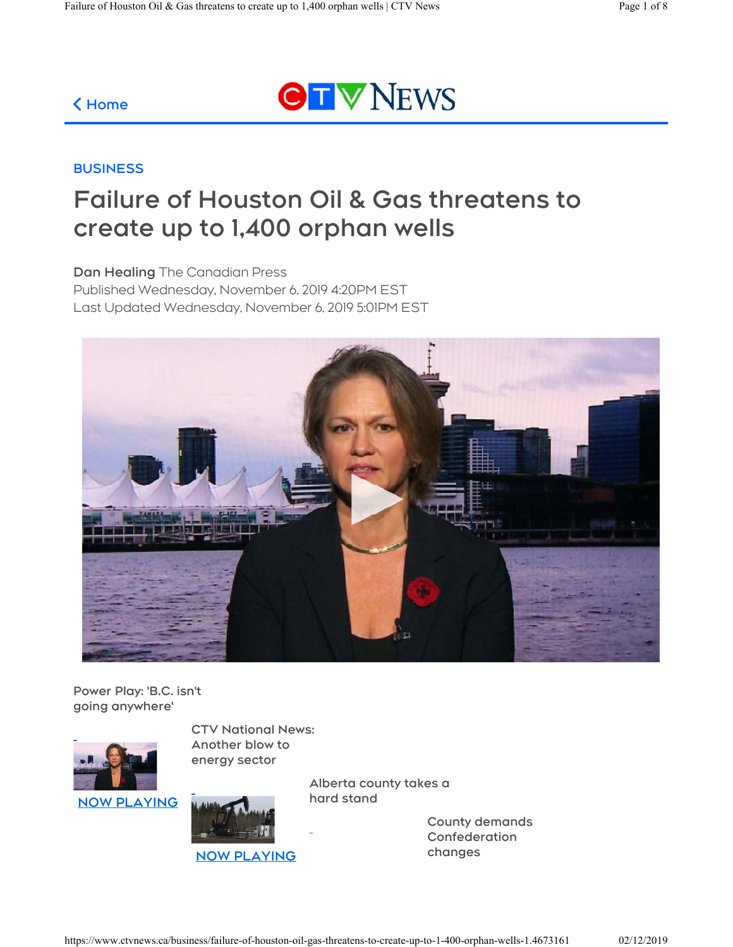## **Home**



#### **BUSINESS**

# **Failure of Houston Oil & Gas threatens to create up to 1,400 orphan wells**

**Dan Healing** The Canadian Press Published Wednesday, November 6, 2019 4:20PM EST Last Updated Wednesday, November 6, 2019 5:01PM EST



**Power Play: 'B.C. isn't going anywhere'** 



**CTV National News: Another blow to energy sector**

**NOW PLAYING**

**NOW PLAYING**

**Alberta county takes a hard stand**

> **County demands Confederation changes**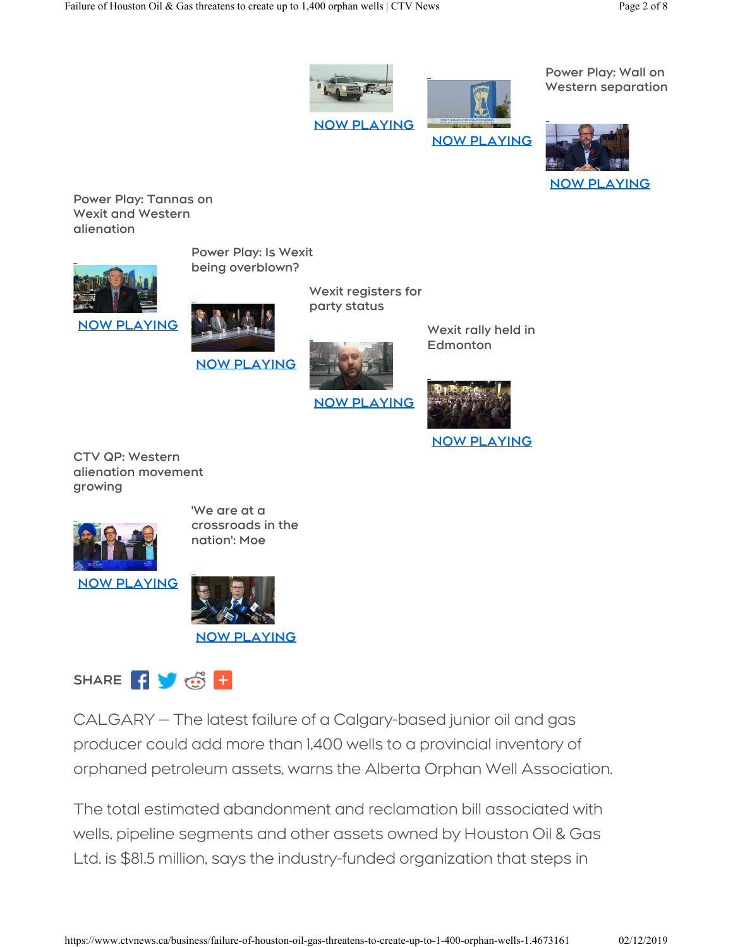

$$
-\vert \vec{\mathbf{R}}\vert
$$

**Power Play: Wall on Western separation**

**NOW PLAYING**

**NOW PLAYING**



**Power Play: Tannas on Wexit and Western alienation**

> **Power Play: Is Wexit being overblown?**





**NOW PLAYING**

**Wexit registers for party status**

> **Wexit rally held in Edmonton**

**NOW PLAYING**



**NOW PLAYING**

**CTV QP: Western alienation movement growing**



**'We are at a crossroads in the nation': Moe**





SHARE **f y**  $6$  t

CALGARY -- The latest failure of a Calgary-based junior oil and gas producer could add more than 1,400 wells to a provincial inventory of orphaned petroleum assets, warns the Alberta Orphan Well Association.

The total estimated abandonment and reclamation bill associated with wells, pipeline segments and other assets owned by Houston Oil & Gas Ltd. is \$81.5 million, says the industry-funded organization that steps in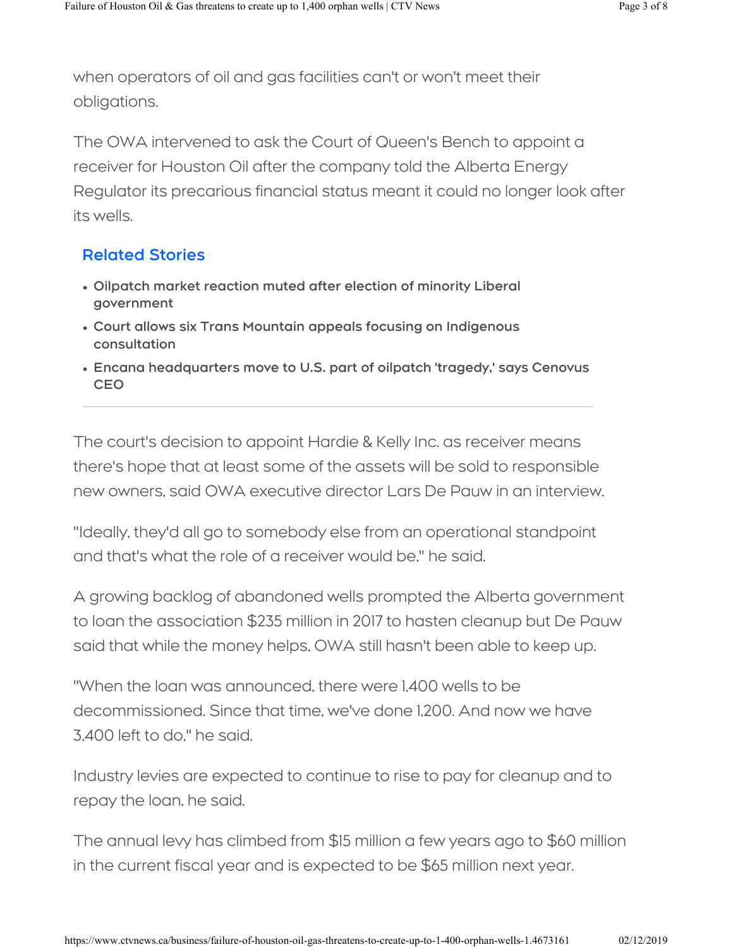when operators of oil and gas facilities can't or won't meet their obligations.

The OWA intervened to ask the Court of Queen's Bench to appoint a receiver for Houston Oil after the company told the Alberta Energy Regulator its precarious financial status meant it could no longer look after its wells.

### **Related Stories**

- **Oilpatch market reaction muted after election of minority Liberal government**
- **Court allows six Trans Mountain appeals focusing on Indigenous consultation**
- **Encana headquarters move to U.S. part of oilpatch 'tragedy,' says Cenovus CEO**

The court's decision to appoint Hardie & Kelly Inc. as receiver means there's hope that at least some of the assets will be sold to responsible new owners, said OWA executive director Lars De Pauw in an interview.

"Ideally, they'd all go to somebody else from an operational standpoint and that's what the role of a receiver would be," he said.

A growing backlog of abandoned wells prompted the Alberta government to loan the association \$235 million in 2017 to hasten cleanup but De Pauw said that while the money helps, OWA still hasn't been able to keep up.

"When the loan was announced, there were 1,400 wells to be decommissioned. Since that time, we've done 1,200. And now we have 3,400 left to do," he said.

Industry levies are expected to continue to rise to pay for cleanup and to repay the loan, he said.

The annual levy has climbed from \$15 million a few years ago to \$60 million in the current fiscal year and is expected to be \$65 million next year.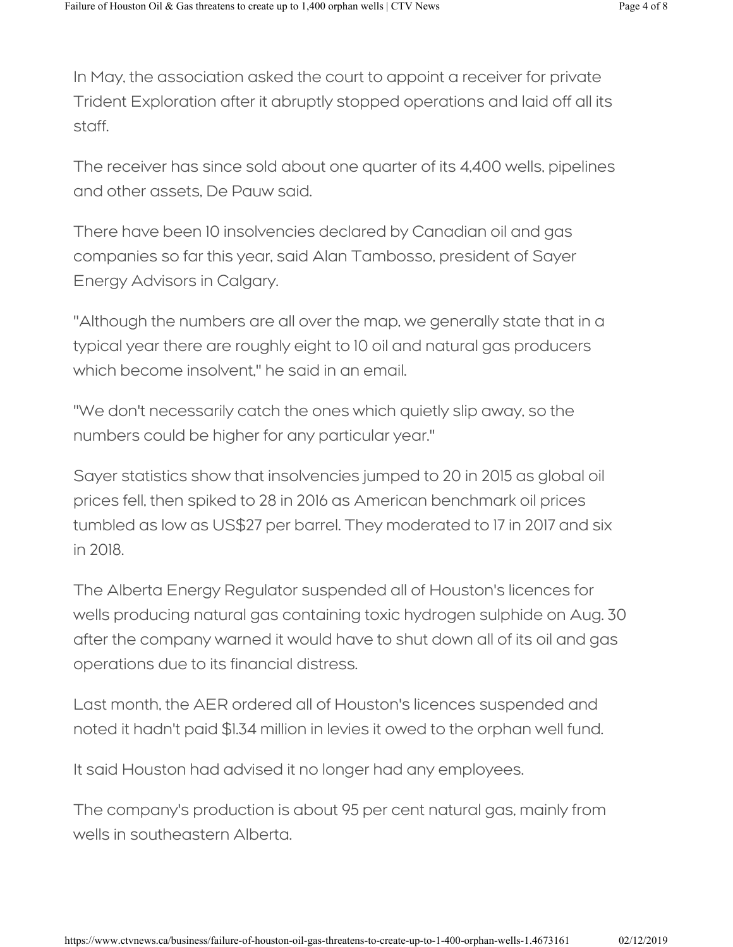In May, the association asked the court to appoint a receiver for private Trident Exploration after it abruptly stopped operations and laid off all its staff.

The receiver has since sold about one quarter of its 4,400 wells, pipelines and other assets, De Pauw said.

There have been 10 insolvencies declared by Canadian oil and gas companies so far this year, said Alan Tambosso, president of Sayer Energy Advisors in Calgary.

"Although the numbers are all over the map, we generally state that in a typical year there are roughly eight to 10 oil and natural gas producers which become insolvent." he said in an email.

"We don't necessarily catch the ones which quietly slip away, so the numbers could be higher for any particular year."

Sayer statistics show that insolvencies jumped to 20 in 2015 as global oil prices fell, then spiked to 28 in 2016 as American benchmark oil prices tumbled as low as US\$27 per barrel. They moderated to 17 in 2017 and six in 2018.

The Alberta Energy Regulator suspended all of Houston's licences for wells producing natural gas containing toxic hydrogen sulphide on Aug. 30 after the company warned it would have to shut down all of its oil and gas operations due to its financial distress.

Last month, the AER ordered all of Houston's licences suspended and noted it hadn't paid \$1.34 million in levies it owed to the orphan well fund.

It said Houston had advised it no longer had any employees.

The company's production is about 95 per cent natural gas, mainly from wells in southeastern Alberta.